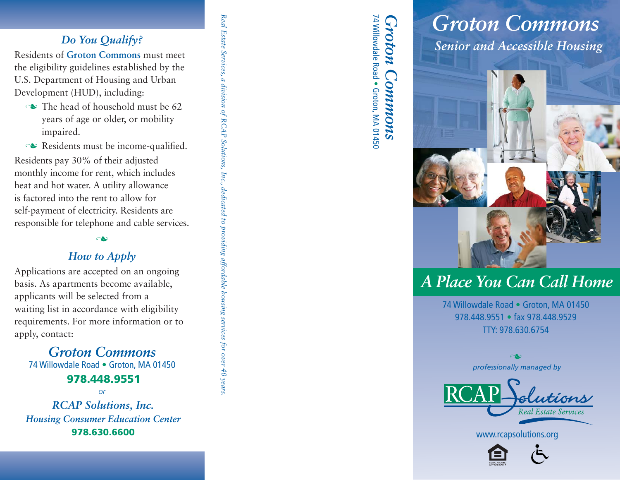## *Do You Qualify?*

Residents of **Groton Commons** must meet the eligibility guidelines established by the U.S. Department of Housing and Urban Development (HUD), including:

- $\sim$  The head of household must be 62 years of age or older, or mobility impaired.
- $\sim$  Residents must be income-qualified.

Residents pay 30% of their adjusted monthly income for rent, which includes heat and hot water. A utility allowance is factored into the rent to allow for self-payment of electricity. Residents are responsible for telephone and cable services. *Real Estate Services, a division of RCAP Solutions, Inc., dedicated to providing affordable housing services for over 40 years.*

a division of RCAP Solutions, Inc., dedicated to providing affordable housing services for over 40 years

Real Estate Services,

ى

## *How to Apply*

Applications are accepted on an ongoing basis. As apartments become available, applicants will be selected from a waiting list in accordance with eligibility requirements. For more information or to apply, contact:

*Groton Commons*74 Willowdale Road • Groton, MA 01450

### **978.448.9551**

*or*

*RCAP Solutions, Inc. Housing Consumer Education Center*978.630.6600

74 Willowdale Road *Groton Commons*<br>74 Willowdale Road • Groton, MA 01450

# *Senior and Accessible Housing Groton Commons*



## *A Place You Can Call Home*

74 Willowdale Road • Groton, MA 01450 978.448.9551 • fax 978.448.9529 TTY: 978.630.6754

*professionally managed by* n

www.rcapsolutions.org